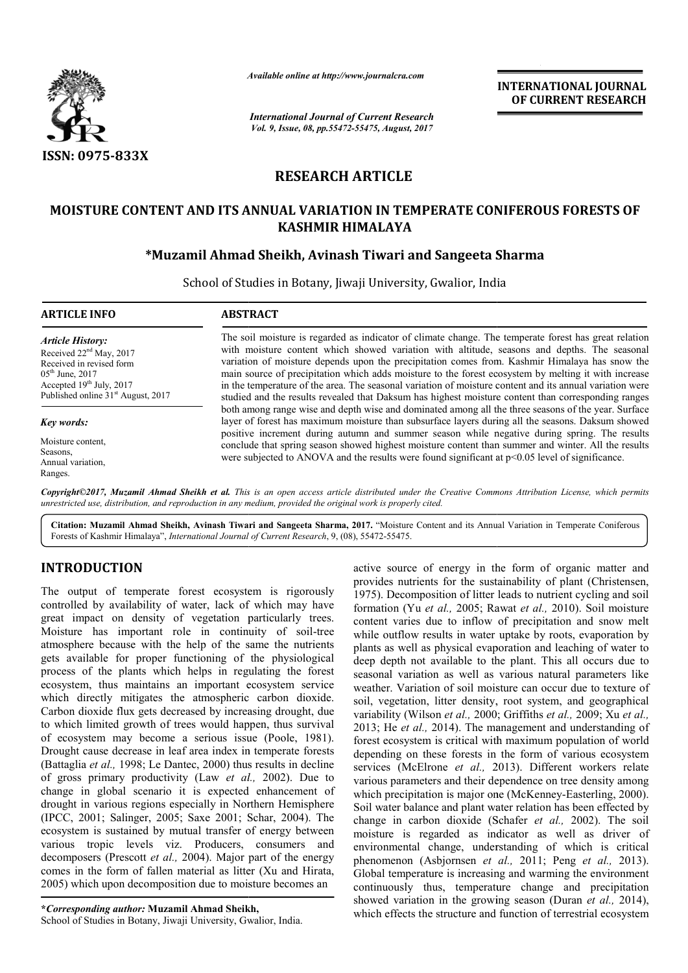

*Available online at http://www.journal http://www.journalcra.com*

*International Journal of Current Research Vol. 9, Issue, 08, pp.55472-55475, August, 2017* **INTERNATIONAL JOURNAL OF CURRENT RESEARCH** 

# **RESEARCH ARTICLE**

# **MOISTURE CONTENT AND ITS ANNUAL VARIATION IN TEMPERATE CONIFEROUS FORESTS OF KASHMIR HIMALAYA**

## **\*Muzamil Ahmad Sheikh, Avinash Tiwari and Sangeeta Sharma Muzamil and Sangeeta**

School of Studies in Botany, Jiwaji University, Gwalior, India

| <b>ARTICLE INFO</b>                                                                                                                                                                   | <b>ABSTRACT</b>                                                                                                                                                                                                                                                                                                                                                                                                                                                                                                                                                                                                                                                                                                                                                                                                                                                                                                                                                                                                                                                                                                                                            |
|---------------------------------------------------------------------------------------------------------------------------------------------------------------------------------------|------------------------------------------------------------------------------------------------------------------------------------------------------------------------------------------------------------------------------------------------------------------------------------------------------------------------------------------------------------------------------------------------------------------------------------------------------------------------------------------------------------------------------------------------------------------------------------------------------------------------------------------------------------------------------------------------------------------------------------------------------------------------------------------------------------------------------------------------------------------------------------------------------------------------------------------------------------------------------------------------------------------------------------------------------------------------------------------------------------------------------------------------------------|
| <b>Article History:</b><br>Received $22nd$ May, 2017<br>Received in revised form<br>$05th$ June, 2017<br>Accepted $19th$ July, 2017<br>Published online 31 <sup>st</sup> August, 2017 | The soil moisture is regarded as indicator of climate change. The temperate forest has great relation<br>with moisture content which showed variation with altitude, seasons and depths. The seasonal<br>variation of moisture depends upon the precipitation comes from. Kashmir Himalaya has snow the<br>main source of precipitation which adds moisture to the forest ecosystem by melting it with increase<br>in the temperature of the area. The seasonal variation of moisture content and its annual variation were<br>studied and the results revealed that Daksum has highest moisture content than corresponding ranges<br>both among range wise and depth wise and dominated among all the three seasons of the year. Surface<br>layer of forest has maximum moisture than subsurface layers during all the seasons. Daksum showed<br>positive increment during autumn and summer season while negative during spring. The results<br>conclude that spring season showed highest moisture content than summer and winter. All the results<br>were subjected to ANOVA and the results were found significant at $p<0.05$ level of significance. |
| Key words:<br>Moisture content.<br>Seasons,<br>Annual variation.                                                                                                                      |                                                                                                                                                                                                                                                                                                                                                                                                                                                                                                                                                                                                                                                                                                                                                                                                                                                                                                                                                                                                                                                                                                                                                            |

*Copyright©2017, Muzamil Ahmad Sheikh et al. This is an open access article distributed under the Creative Commons Att under the Commons Attribution License, which permits unrestricted use, distribution, and reproduction in any medium, provided the original work is properly cited.*

Citation: Muzamil Ahmad Sheikh, Avinash Tiwari and Sangeeta Sharma, 2017. "Moisture Content and its Annual Variation in Temperate Coniferous Forests of Kashmir Himalaya", *International Journal of Current Research* , 9, (08), 55472-55475.

## **INTRODUCTION**

Ranges.

The output of temperate forest ecosystem is rigorously controlled by availability of water, lack of which may have great impact on density of vegetation particularly trees. Moisture has important role in continuity of soil-tree atmosphere because with the help of the same the nutrients gets available for proper functioning of the physiological process of the plants which helps in regulating the forest ecosystem, thus maintains an important ecosystem service which directly mitigates the atmospheric carbon dioxide. Carbon dioxide flux gets decreased by increasing drought, due to which limited growth of trees would happen, thus survival Carbon dioxide flux gets decreased by increasing drought, due<br>to which limited growth of trees would happen, thus survival<br>of ecosystem may become a serious issue (Poole, 1981). Drought cause decrease in leaf area index in temperate forests (Battaglia *et al.,* 1998; Le Dantec, 2000) thus results in decline (Battaglia *et al.*, 1998; Le Dantec, 2000) thus results in decline of gross primary productivity (Law *et al.*, 2002). Due to change in global scenario it is expected enhancement of drought in various regions especially in Northern Hemisphere (IPCC, 2001; Salinger, 2005; Saxe 2001; Schar, 2004). The ecosystem is sustained by mutual transfer of energy between various tropic levels viz. Producers, consumers and decomposers (Prescott *et al.,* 2004). Major part of the energy comes in the form of fallen material as litter ( (Xu and Hirata, 2005) which upon decomposition due to moisture becomes an

**\****Corresponding author:* **Muzamil Ahmad Sheikh,**

School of Studies in Botany, Jiwaji University, Gwalior, India.

**ION**<br>
active source of energy in the form of organic matter<br>
importanea reference the energy in the form of organic matter<br>
important including the surfaction of the state information (Yu et al., 2005); Rawar et al., 200 provides nutrients for the sustainability of plant (Christensen, 1975). Decomposition of litter leads to nutrient cycling and soil 1975). Decomposition of litter leads to nutrient cycling and soil formation (Yu *et al.*, 2005; Rawat *et al.*, 2010). Soil moisture content varies due to inflow of precipitation and snow melt while outflow results in water uptake by roots, evaporation by plants as well as physical evaporation and leaching of water to deep depth not available to the plant. This all occurs due to seasonal variation as well as various natural parameters like weather. Variation of soil moisture can occur due to texture of seasonal variation as well as various natural parameters like<br>weather. Variation of soil moisture can occur due to texture of<br>soil, vegetation, litter density, root system, and geographical variability (Wilson *et al.,* 2000; Griffiths *et al.,* 2009; Xu *et al.,*  2013; He *et al.,* 2014). The management and understanding of forest ecosystem is critical with maximum population of world depending on these forests in the form of various ecosystem services (McElrone *et al.*, 2013). Different workers relate various parameters and their dependence on tree density among various parameters and their dependence on tree density among which precipitation is major one (McKenney-Easterling, 2000). Soil water balance and plant water relation has been effected by Soil water balance and plant water relation has been effected by change in carbon dioxide (Schafer *et al., 2002)*. The soil moisture is regarded as indicator as well as driver of moisture is regarded as indicator as well as driver of environmental change, understanding of which is critical phenomenon (Asbjornsen *et al.*, 2011; Peng *et al.*, 2013). Global temperature is increasing and warming the environment Global temperature is increasing and warming the environment continuously thus, temperature change and precipitation showed variation in the growing season (Duran et al., 2014), which effects the structure and function of terrestrial ecosystem active source of energy in the form of organic matter and content varies due to inflow of precipitation and snow melt<br>while outflow results in water uptake by roots, evaporation by<br>plants as well as physical evaporation and leaching of water to<br>deep depth not available to the pla 2014). The management and understanding of<br>is critical with maximum population of world<br>see forests in the form of various ecosystem<br>nne *et al.*, 2013). Different workers relate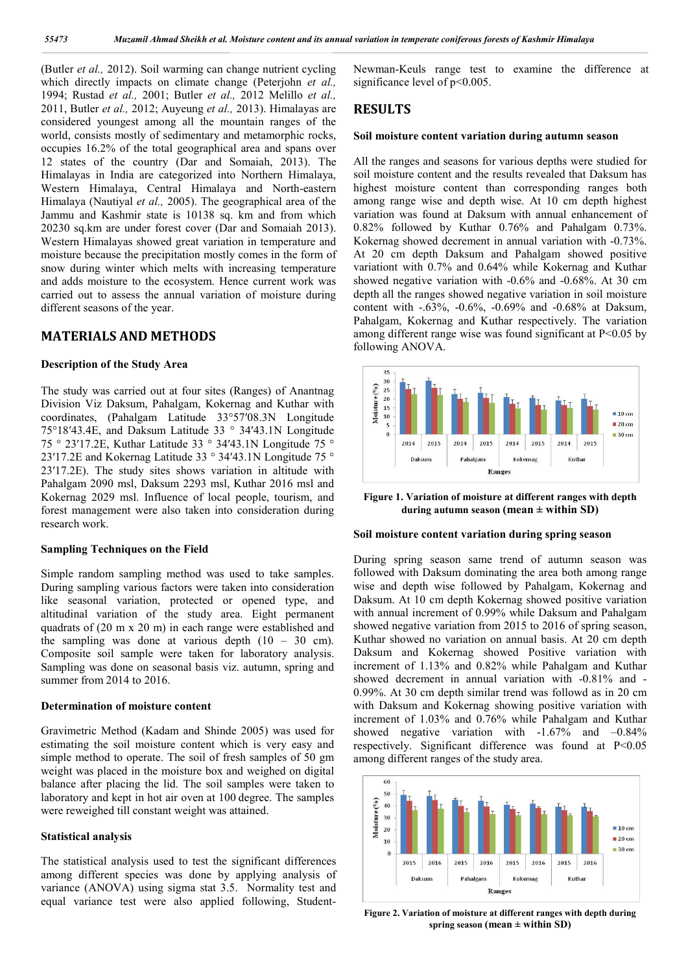(Butler *et al.,* 2012). Soil warming can change nutrient cycling which directly impacts on climate change (Peterjohn *et al.,*  1994; Rustad *et al.,* 2001; Butler *et al.,* 2012 Melillo *et al.,*  2011, Butler *et al.,* 2012; Auyeung *et al.,* 2013). Himalayas are considered youngest among all the mountain ranges of the world, consists mostly of sedimentary and metamorphic rocks, occupies 16.2% of the total geographical area and spans over 12 states of the country (Dar and Somaiah, 2013). The Himalayas in India are categorized into Northern Himalaya, Western Himalaya, Central Himalaya and North-eastern Himalaya (Nautiyal *et al.,* 2005). The geographical area of the Jammu and Kashmir state is 10138 sq. km and from which 20230 sq.km are under forest cover (Dar and Somaiah 2013). Western Himalayas showed great variation in temperature and moisture because the precipitation mostly comes in the form of snow during winter which melts with increasing temperature and adds moisture to the ecosystem. Hence current work was carried out to assess the annual variation of moisture during different seasons of the year.

## **MATERIALS AND METHODS**

### **Description of the Study Area**

The study was carried out at four sites (Ranges) of Anantnag Division Viz Daksum, Pahalgam, Kokernag and Kuthar with coordinates, (Pahalgam Latitude 33°57′08.3N Longitude 75°18′43.4E, and Daksum Latitude 33 ° 34′43.1N Longitude 75 ° 23′17.2E, Kuthar Latitude 33 ° 34′43.1N Longitude 75 ° 23′17.2E and Kokernag Latitude 33 ° 34′43.1N Longitude 75 ° 23′17.2E). The study sites shows variation in altitude with Pahalgam 2090 msl, Daksum 2293 msl, Kuthar 2016 msl and Kokernag 2029 msl. Influence of local people, tourism, and forest management were also taken into consideration during research work.

### **Sampling Techniques on the Field**

Simple random sampling method was used to take samples. During sampling various factors were taken into consideration like seasonal variation, protected or opened type, and altitudinal variation of the study area. Eight permanent quadrats of (20 m x 20 m) in each range were established and the sampling was done at various depth  $(10 - 30 \text{ cm})$ . Composite soil sample were taken for laboratory analysis. Sampling was done on seasonal basis viz. autumn, spring and summer from 2014 to 2016.

#### **Determination of moisture content**

Gravimetric Method (Kadam and Shinde 2005) was used for estimating the soil moisture content which is very easy and simple method to operate. The soil of fresh samples of 50 gm weight was placed in the moisture box and weighed on digital balance after placing the lid. The soil samples were taken to laboratory and kept in hot air oven at 100 degree. The samples were reweighed till constant weight was attained.

#### **Statistical analysis**

The statistical analysis used to test the significant differences among different species was done by applying analysis of variance (ANOVA) using sigma stat 3.5. Normality test and equal variance test were also applied following, StudentNewman-Keuls range test to examine the difference at significance level of  $p<0.005$ .

## **RESULTS**

#### **Soil moisture content variation during autumn season**

All the ranges and seasons for various depths were studied for soil moisture content and the results revealed that Daksum has highest moisture content than corresponding ranges both among range wise and depth wise. At 10 cm depth highest variation was found at Daksum with annual enhancement of 0.82% followed by Kuthar 0.76% and Pahalgam 0.73%. Kokernag showed decrement in annual variation with -0.73%. At 20 cm depth Daksum and Pahalgam showed positive variationt with 0.7% and 0.64% while Kokernag and Kuthar showed negative variation with -0.6% and -0.68%. At 30 cm depth all the ranges showed negative variation in soil moisture content with -.63%, -0.6%, -0.69% and -0.68% at Daksum, Pahalgam, Kokernag and Kuthar respectively. The variation among different range wise was found significant at P<0.05 by following ANOVA.



**Figure 1. Variation of moisture at different ranges with depth during autumn season (mean ± within SD)**

#### **Soil moisture content variation during spring season**

During spring season same trend of autumn season was followed with Daksum dominating the area both among range wise and depth wise followed by Pahalgam, Kokernag and Daksum. At 10 cm depth Kokernag showed positive variation with annual increment of 0.99% while Daksum and Pahalgam showed negative variation from 2015 to 2016 of spring season, Kuthar showed no variation on annual basis. At 20 cm depth Daksum and Kokernag showed Positive variation with increment of 1.13% and 0.82% while Pahalgam and Kuthar showed decrement in annual variation with -0.81% and - 0.99%. At 30 cm depth similar trend was followd as in 20 cm with Daksum and Kokernag showing positive variation with increment of 1.03% and 0.76% while Pahalgam and Kuthar showed negative variation with -1.67% and –0.84% respectively. Significant difference was found at P<0.05 among different ranges of the study area.



**Figure 2. Variation of moisture at different ranges with depth during spring season (mean ± within SD)**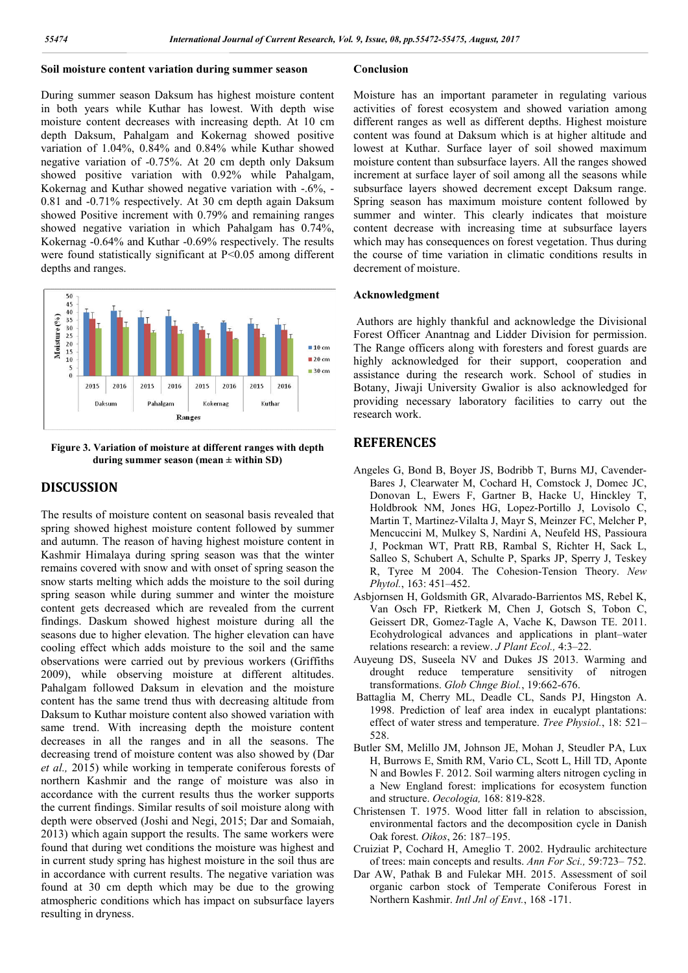### **Soil moisture content variation during summer season**

## During summer season Daksum has highest moisture content in both years while Kuthar has lowest. With depth wise moisture content decreases with increasing depth. At 10 cm depth Daksum, Pahalgam and Kokernag showed positive variation of 1.04%, 0.84% and 0.84% while Kuthar showed negative variation of -0.75%. At 20 cm depth only Daksum showed positive variation with 0.92% while Pahalgam, Kokernag and Kuthar showed negative variation with -.6%, -0.81 and -0.71% respectively. At 30 cm depth again Daksum showed Positive increment with 0.79% and remaining ranges showed negative variation in which Pahalgam has 0.74%, Kokernag -0.64% and Kuthar -0.69% respectively. The results were found statistically significant at P<0.05 among different depths and ranges.



**Figure 3. Variation of moisture at different ranges with depth during summer season (mean ± within SD)**

## **DISCUSSION**

The results of moisture content on seasonal basis revealed that spring showed highest moisture content followed by summer and autumn. The reason of having highest moisture content in Kashmir Himalaya during spring season was that the winter remains covered with snow and with onset of spring season the snow starts melting which adds the moisture to the soil during spring season while during summer and winter the moisture content gets decreased which are revealed from the current findings. Daskum showed highest moisture during all the seasons due to higher elevation. The higher elevation can have cooling effect which adds moisture to the soil and the same observations were carried out by previous workers (Griffiths 2009), while observing moisture at different altitudes. Pahalgam followed Daksum in elevation and the moisture content has the same trend thus with decreasing altitude from Daksum to Kuthar moisture content also showed variation with same trend. With increasing depth the moisture content decreases in all the ranges and in all the seasons. The decreasing trend of moisture content was also showed by (Dar *et al.,* 2015) while working in temperate coniferous forests of northern Kashmir and the range of moisture was also in accordance with the current results thus the worker supports the current findings. Similar results of soil moisture along with depth were observed (Joshi and Negi, 2015; Dar and Somaiah, 2013) which again support the results. The same workers were found that during wet conditions the moisture was highest and in current study spring has highest moisture in the soil thus are in accordance with current results. The negative variation was found at 30 cm depth which may be due to the growing atmospheric conditions which has impact on subsurface layers resulting in dryness.

## **Conclusion**

Moisture has an important parameter in regulating various activities of forest ecosystem and showed variation among different ranges as well as different depths. Highest moisture content was found at Daksum which is at higher altitude and lowest at Kuthar. Surface layer of soil showed maximum moisture content than subsurface layers. All the ranges showed increment at surface layer of soil among all the seasons while subsurface layers showed decrement except Daksum range. Spring season has maximum moisture content followed by summer and winter. This clearly indicates that moisture content decrease with increasing time at subsurface layers which may has consequences on forest vegetation. Thus during the course of time variation in climatic conditions results in decrement of moisture.

### **Acknowledgment**

Authors are highly thankful and acknowledge the Divisional Forest Officer Anantnag and Lidder Division for permission. The Range officers along with foresters and forest guards are highly acknowledged for their support, cooperation and assistance during the research work. School of studies in Botany, Jiwaji University Gwalior is also acknowledged for providing necessary laboratory facilities to carry out the research work.

## **REFERENCES**

- Angeles G, Bond B, Boyer JS, Bodribb T, Burns MJ, Cavender-Bares J, Clearwater M, Cochard H, Comstock J, Domec JC, Donovan L, Ewers F, Gartner B, Hacke U, Hinckley T, Holdbrook NM, Jones HG, Lopez-Portillo J, Lovisolo C, Martin T, Martinez-Vilalta J, Mayr S, Meinzer FC, Melcher P, Mencuccini M, Mulkey S, Nardini A, Neufeld HS, Passioura J, Pockman WT, Pratt RB, Rambal S, Richter H, Sack L, Salleo S, Schubert A, Schulte P, Sparks JP, Sperry J, Teskey R, Tyree M 2004. The Cohesion-Tension Theory. *New Phytol.*, 163: 451–452.
- Asbjornsen H, Goldsmith GR, Alvarado-Barrientos MS, Rebel K, Van Osch FP, Rietkerk M, Chen J, Gotsch S, Tobon C, Geissert DR, Gomez-Tagle A, Vache K, Dawson TE. 2011. Ecohydrological advances and applications in plant–water relations research: a review. *J Plant Ecol.,* 4:3–22.
- Auyeung DS, Suseela NV and Dukes JS 2013. Warming and drought reduce temperature sensitivity of nitrogen transformations. *Glob Chnge Biol.*, 19:662-676.
- Battaglia M, Cherry ML, Deadle CL, Sands PJ, Hingston A. 1998. Prediction of leaf area index in eucalypt plantations: effect of water stress and temperature. *Tree Physiol.*, 18: 521– 528.
- Butler SM, Melillo JM, Johnson JE, Mohan J, Steudler PA, Lux H, Burrows E, Smith RM, Vario CL, Scott L, Hill TD, Aponte N and Bowles F. 2012. Soil warming alters nitrogen cycling in a New England forest: implications for ecosystem function and structure. *Oecologia,* 168: 819-828.
- Christensen T. 1975. Wood litter fall in relation to abscission, environmental factors and the decomposition cycle in Danish Oak forest. *Oikos*, 26: 187–195.
- Cruiziat P, Cochard H, Ameglio T. 2002. Hydraulic architecture of trees: main concepts and results. *Ann For Sci.,* 59:723– 752.
- Dar AW, Pathak B and Fulekar MH. 2015. Assessment of soil organic carbon stock of Temperate Coniferous Forest in Northern Kashmir. *Intl Jnl of Envt.*, 168 -171.